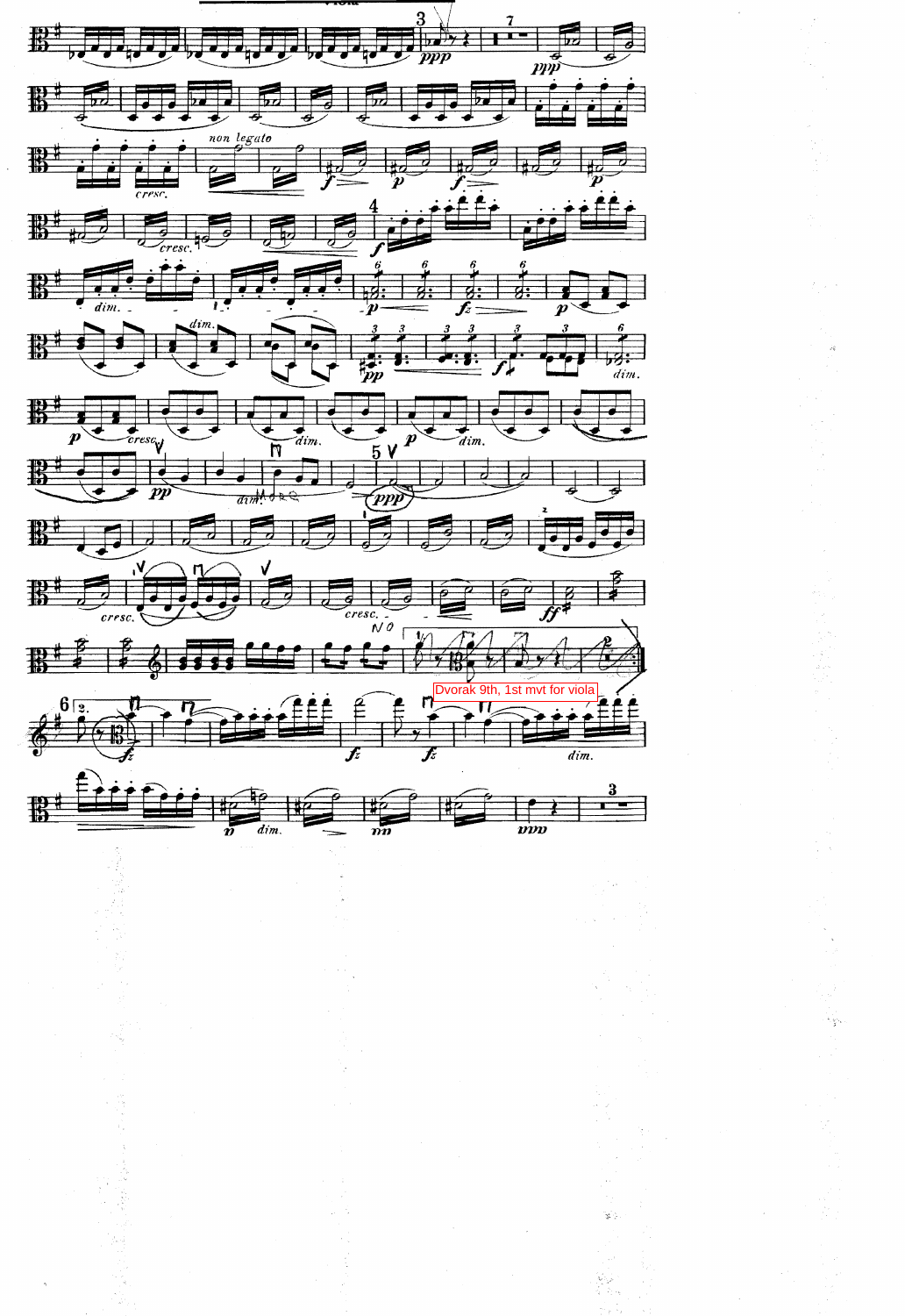

**All Alan** 

. . .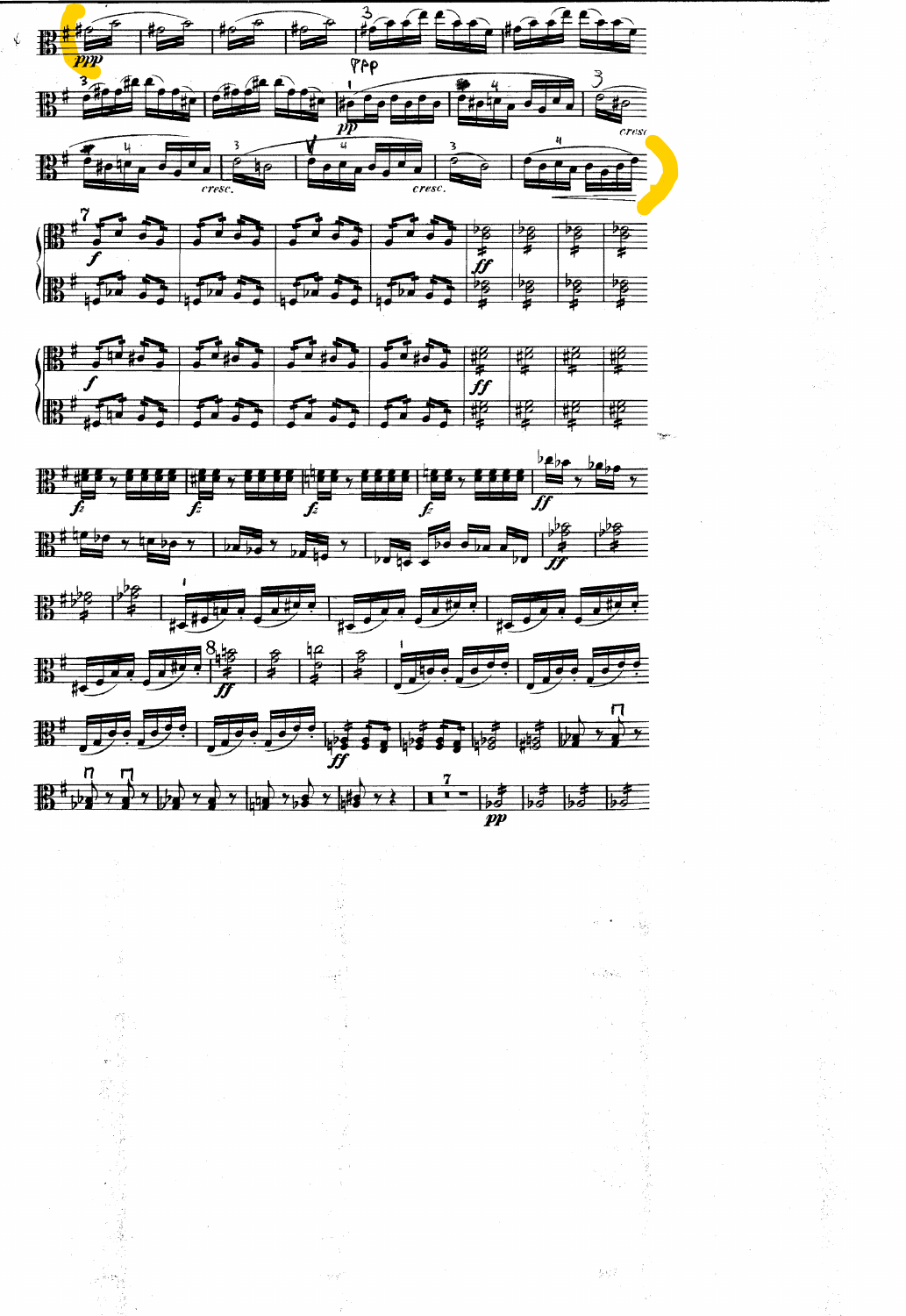

 $\ell \sim \sqrt{2\pi} \omega_0$ 学习 异核素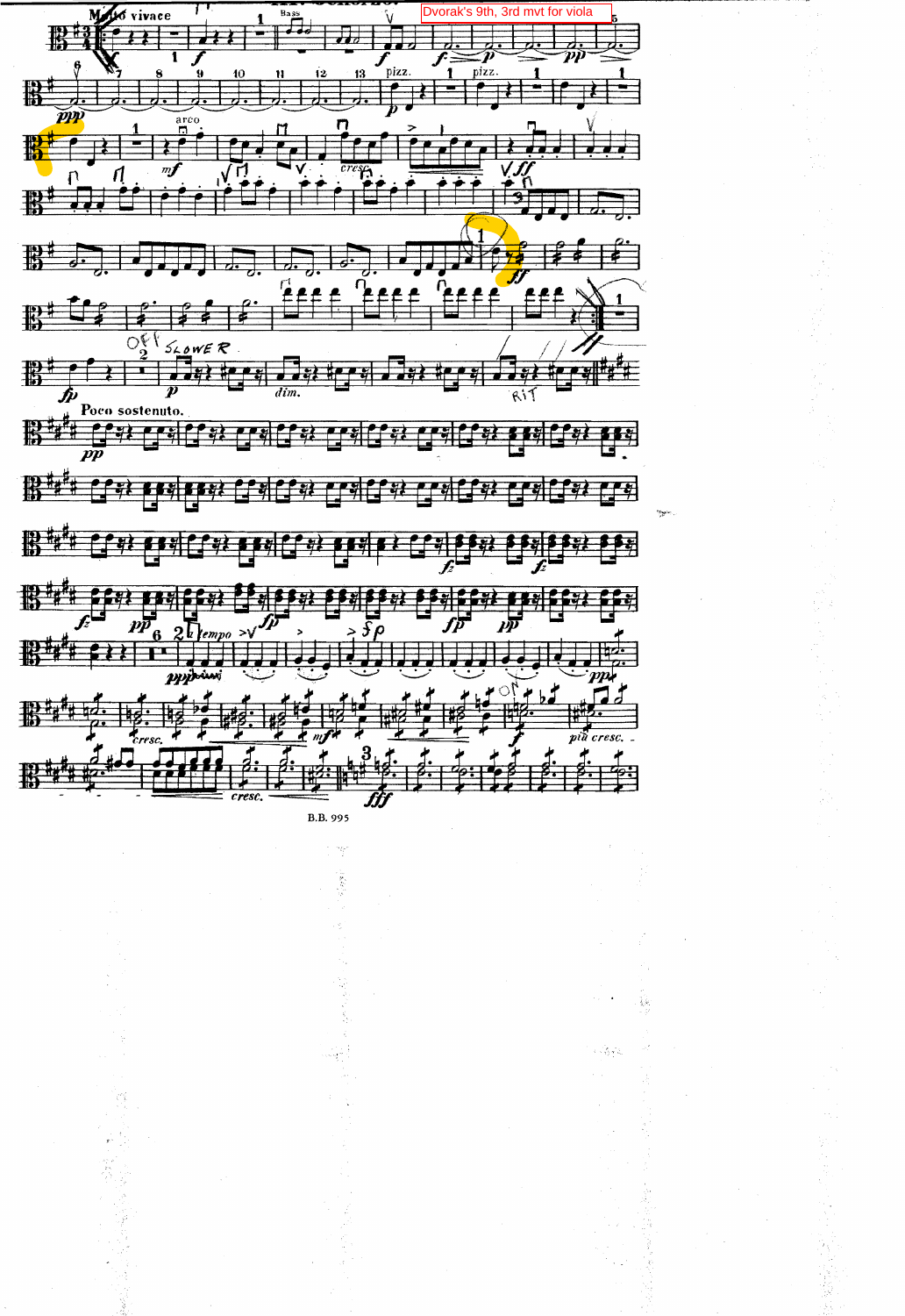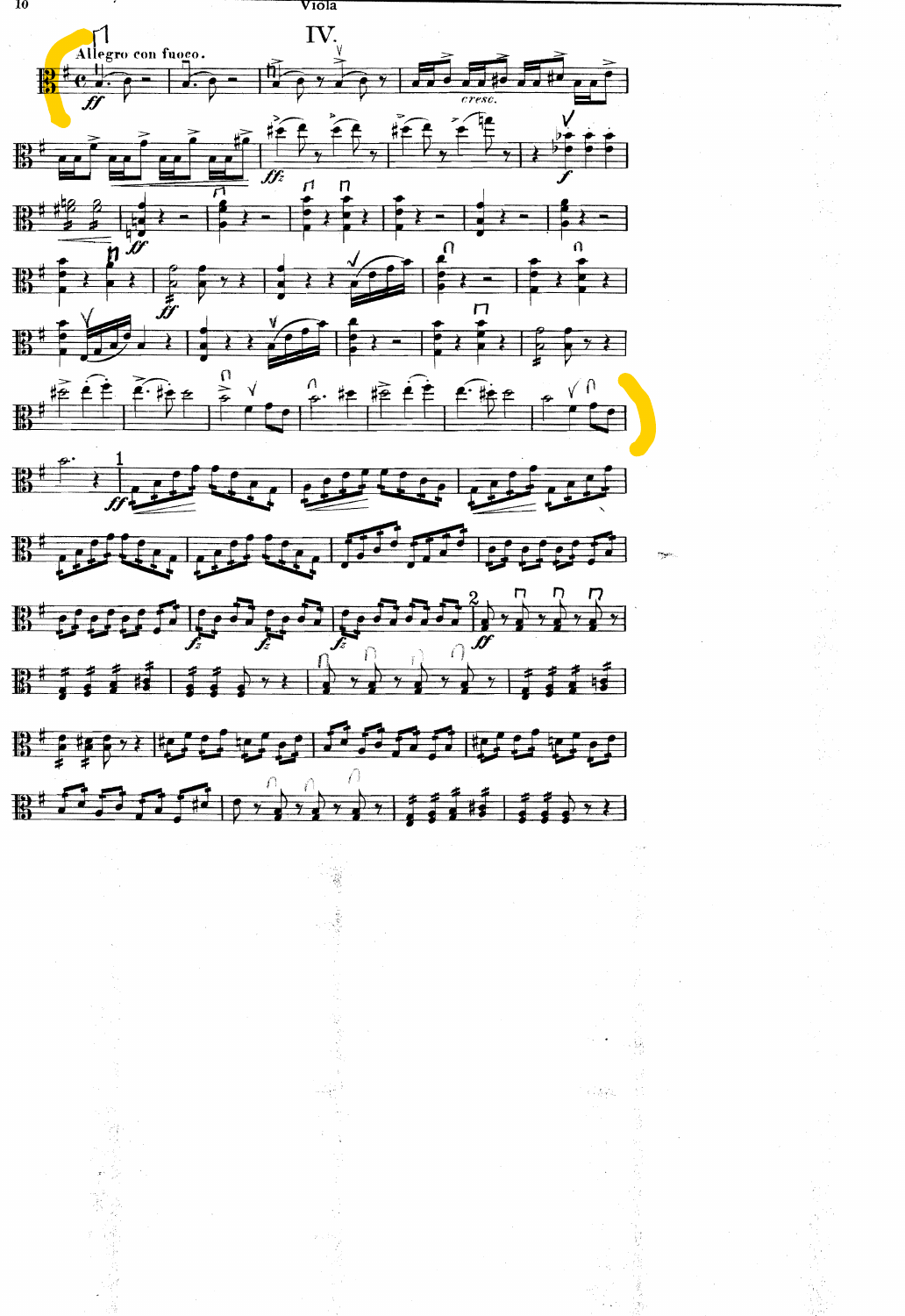